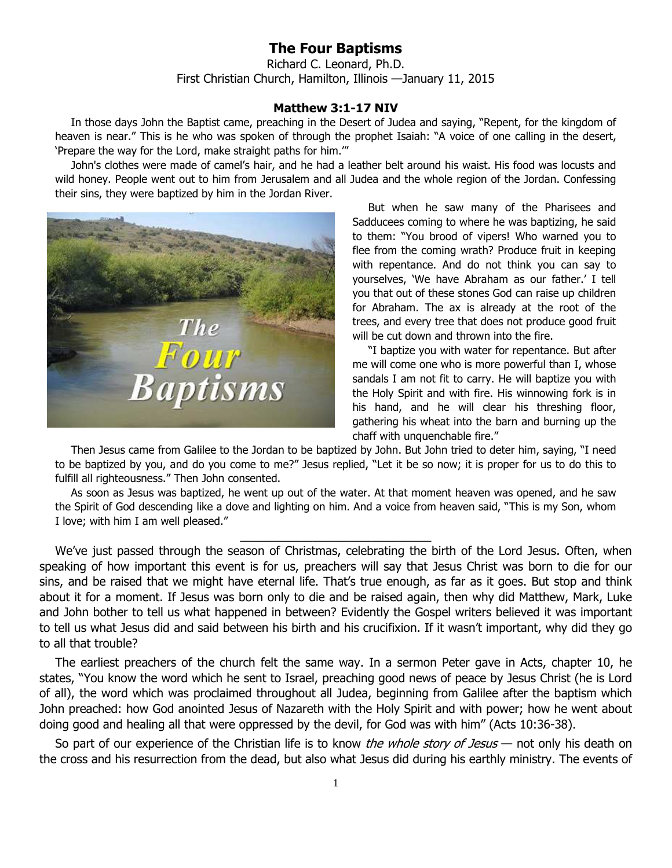## **The Four Baptisms**

Richard C. Leonard, Ph.D. First Christian Church, Hamilton, Illinois —January 11, 2015

## **Matthew 3:1-17 NIV**

In those days John the Baptist came, preaching in the Desert of Judea and saying, "Repent, for the kingdom of heaven is near." This is he who was spoken of through the prophet Isaiah: "A voice of one calling in the desert, 'Prepare the way for the Lord, make straight paths for him.'"

John's clothes were made of camel's hair, and he had a leather belt around his waist. His food was locusts and wild honey. People went out to him from Jerusalem and all Judea and the whole region of the Jordan. Confessing their sins, they were baptized by him in the Jordan River.



But when he saw many of the Pharisees and Sadducees coming to where he was baptizing, he said to them: "You brood of vipers! Who warned you to flee from the coming wrath? Produce fruit in keeping with repentance. And do not think you can say to yourselves, 'We have Abraham as our father.' I tell you that out of these stones God can raise up children for Abraham. The ax is already at the root of the trees, and every tree that does not produce good fruit will be cut down and thrown into the fire.

"I baptize you with water for repentance. But after me will come one who is more powerful than I, whose sandals I am not fit to carry. He will baptize you with the Holy Spirit and with fire. His winnowing fork is in his hand, and he will clear his threshing floor, gathering his wheat into the barn and burning up the chaff with unquenchable fire."

Then Jesus came from Galilee to the Jordan to be baptized by John. But John tried to deter him, saying, "I need to be baptized by you, and do you come to me?" Jesus replied, "Let it be so now; it is proper for us to do this to fulfill all righteousness." Then John consented.

As soon as Jesus was baptized, he went up out of the water. At that moment heaven was opened, and he saw the Spirit of God descending like a dove and lighting on him. And a voice from heaven said, "This is my Son, whom I love; with him I am well pleased."

 $\_$ 

We've just passed through the season of Christmas, celebrating the birth of the Lord Jesus. Often, when speaking of how important this event is for us, preachers will say that Jesus Christ was born to die for our sins, and be raised that we might have eternal life. That's true enough, as far as it goes. But stop and think about it for a moment. If Jesus was born only to die and be raised again, then why did Matthew, Mark, Luke and John bother to tell us what happened in between? Evidently the Gospel writers believed it was important to tell us what Jesus did and said between his birth and his crucifixion. If it wasn't important, why did they go to all that trouble?

The earliest preachers of the church felt the same way. In a sermon Peter gave in Acts, chapter 10, he states, "You know the word which he sent to Israel, preaching good news of peace by Jesus Christ (he is Lord of all), the word which was proclaimed throughout all Judea, beginning from Galilee after the baptism which John preached: how God anointed Jesus of Nazareth with the Holy Spirit and with power; how he went about doing good and healing all that were oppressed by the devil, for God was with him" (Acts 10:36-38).

So part of our experience of the Christian life is to know *the whole story of Jesus* — not only his death on the cross and his resurrection from the dead, but also what Jesus did during his earthly ministry. The events of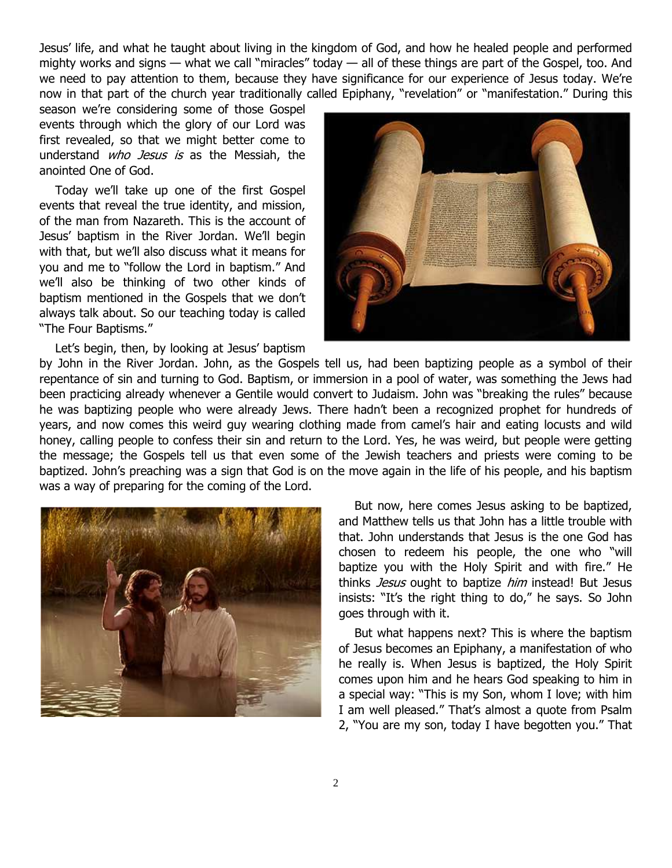Jesus' life, and what he taught about living in the kingdom of God, and how he healed people and performed mighty works and signs — what we call "miracles" today — all of these things are part of the Gospel, too. And we need to pay attention to them, because they have significance for our experience of Jesus today. We're now in that part of the church year traditionally called Epiphany, "revelation" or "manifestation." During this

season we're considering some of those Gospel events through which the glory of our Lord was first revealed, so that we might better come to understand *who Jesus is* as the Messiah, the anointed One of God.

Today we'll take up one of the first Gospel events that reveal the true identity, and mission, of the man from Nazareth. This is the account of Jesus' baptism in the River Jordan. We'll begin with that, but we'll also discuss what it means for you and me to "follow the Lord in baptism." And we'll also be thinking of two other kinds of baptism mentioned in the Gospels that we don't always talk about. So our teaching today is called "The Four Baptisms."

Let's begin, then, by looking at Jesus' baptism



by John in the River Jordan. John, as the Gospels tell us, had been baptizing people as a symbol of their repentance of sin and turning to God. Baptism, or immersion in a pool of water, was something the Jews had been practicing already whenever a Gentile would convert to Judaism. John was "breaking the rules" because he was baptizing people who were already Jews. There hadn't been a recognized prophet for hundreds of years, and now comes this weird guy wearing clothing made from camel's hair and eating locusts and wild honey, calling people to confess their sin and return to the Lord. Yes, he was weird, but people were getting the message; the Gospels tell us that even some of the Jewish teachers and priests were coming to be baptized. John's preaching was a sign that God is on the move again in the life of his people, and his baptism was a way of preparing for the coming of the Lord.



But now, here comes Jesus asking to be baptized, and Matthew tells us that John has a little trouble with that. John understands that Jesus is the one God has chosen to redeem his people, the one who "will baptize you with the Holy Spirit and with fire." He thinks Jesus ought to baptize him instead! But Jesus insists: "It's the right thing to do," he says. So John goes through with it.

But what happens next? This is where the baptism of Jesus becomes an Epiphany, a manifestation of who he really is. When Jesus is baptized, the Holy Spirit comes upon him and he hears God speaking to him in a special way: "This is my Son, whom I love; with him I am well pleased." That's almost a quote from Psalm 2, "You are my son, today I have begotten you." That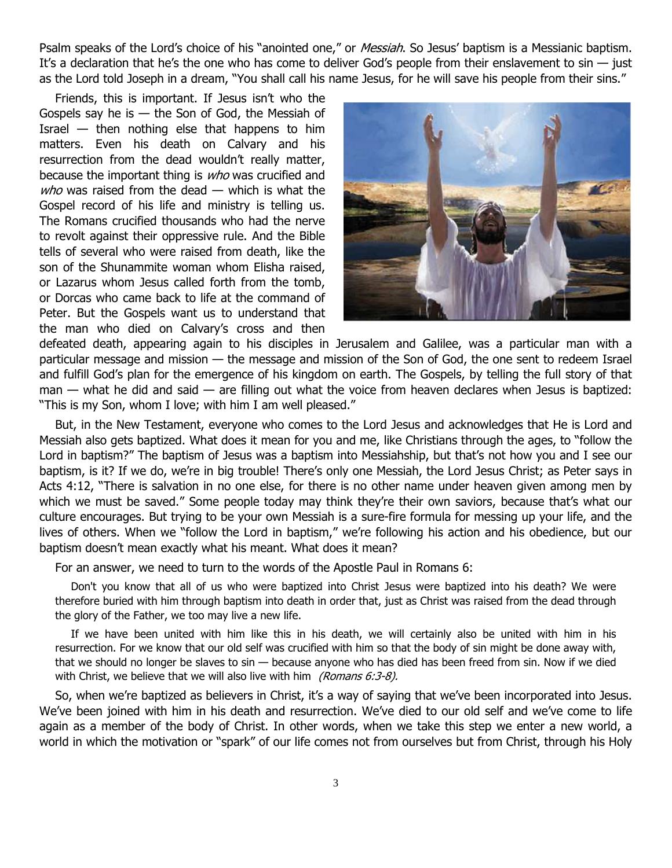Psalm speaks of the Lord's choice of his "anointed one," or *Messiah*. So Jesus' baptism is a Messianic baptism. It's a declaration that he's the one who has come to deliver God's people from their enslavement to  $sin - j$ ust as the Lord told Joseph in a dream, "You shall call his name Jesus, for he will save his people from their sins."

Friends, this is important. If Jesus isn't who the Gospels say he is  $-$  the Son of God, the Messiah of Israel  $-$  then nothing else that happens to him matters. Even his death on Calvary and his resurrection from the dead wouldn't really matter, because the important thing is who was crucified and  $$ Gospel record of his life and ministry is telling us. The Romans crucified thousands who had the nerve to revolt against their oppressive rule. And the Bible tells of several who were raised from death, like the son of the Shunammite woman whom Elisha raised, or Lazarus whom Jesus called forth from the tomb, or Dorcas who came back to life at the command of Peter. But the Gospels want us to understand that the man who died on Calvary's cross and then



defeated death, appearing again to his disciples in Jerusalem and Galilee, was a particular man with a particular message and mission — the message and mission of the Son of God, the one sent to redeem Israel and fulfill God's plan for the emergence of his kingdom on earth. The Gospels, by telling the full story of that man — what he did and said — are filling out what the voice from heaven declares when Jesus is baptized: "This is my Son, whom I love; with him I am well pleased."

But, in the New Testament, everyone who comes to the Lord Jesus and acknowledges that He is Lord and Messiah also gets baptized. What does it mean for you and me, like Christians through the ages, to "follow the Lord in baptism?" The baptism of Jesus was a baptism into Messiahship, but that's not how you and I see our baptism, is it? If we do, we're in big trouble! There's only one Messiah, the Lord Jesus Christ; as Peter says in Acts 4:12, "There is salvation in no one else, for there is no other name under heaven given among men by which we must be saved." Some people today may think they're their own saviors, because that's what our culture encourages. But trying to be your own Messiah is a sure-fire formula for messing up your life, and the lives of others. When we "follow the Lord in baptism," we're following his action and his obedience, but our baptism doesn't mean exactly what his meant. What does it mean?

For an answer, we need to turn to the words of the Apostle Paul in Romans 6:

Don't you know that all of us who were baptized into Christ Jesus were baptized into his death? We were therefore buried with him through baptism into death in order that, just as Christ was raised from the dead through the glory of the Father, we too may live a new life.

If we have been united with him like this in his death, we will certainly also be united with him in his resurrection. For we know that our old self was crucified with him so that the body of sin might be done away with, that we should no longer be slaves to sin — because anyone who has died has been freed from sin. Now if we died with Christ, we believe that we will also live with him (Romans  $6:3-8$ ).

So, when we're baptized as believers in Christ, it's a way of saying that we've been incorporated into Jesus. We've been joined with him in his death and resurrection. We've died to our old self and we've come to life again as a member of the body of Christ. In other words, when we take this step we enter a new world, a world in which the motivation or "spark" of our life comes not from ourselves but from Christ, through his Holy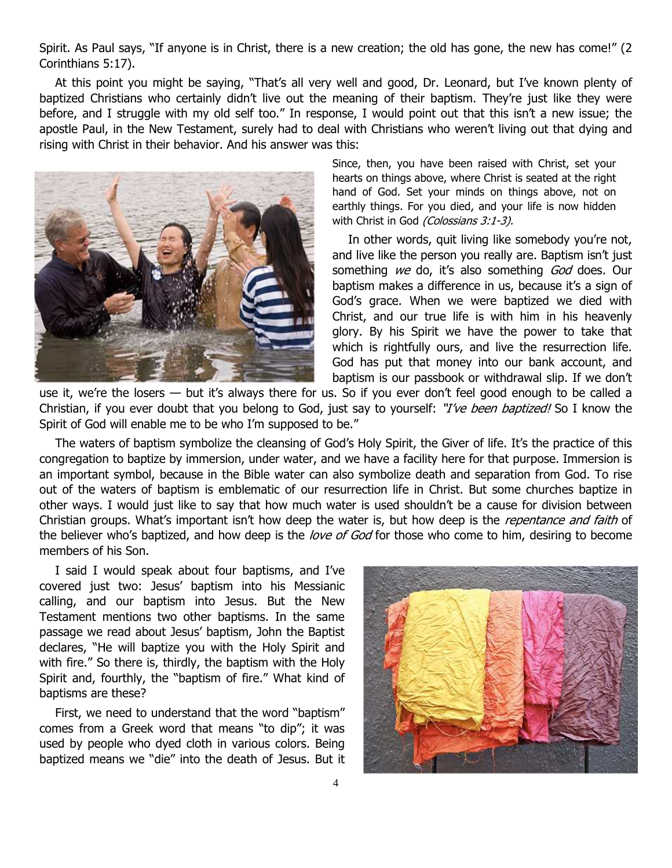Spirit. As Paul says, "If anyone is in Christ, there is a new creation; the old has gone, the new has come!" (2 Corinthians 5:17).

At this point you might be saying, "That's all very well and good, Dr. Leonard, but I've known plenty of baptized Christians who certainly didn't live out the meaning of their baptism. They're just like they were before, and I struggle with my old self too." In response, I would point out that this isn't a new issue; the apostle Paul, in the New Testament, surely had to deal with Christians who weren't living out that dying and rising with Christ in their behavior. And his answer was this:



Since, then, you have been raised with Christ, set your hearts on things above, where Christ is seated at the right hand of God. Set your minds on things above, not on earthly things. For you died, and your life is now hidden with Christ in God (Colossians 3:1-3).

In other words, quit living like somebody you're not, and live like the person you really are. Baptism isn't just something we do, it's also something God does. Our baptism makes a difference in us, because it's a sign of God's grace. When we were baptized we died with Christ, and our true life is with him in his heavenly glory. By his Spirit we have the power to take that which is rightfully ours, and live the resurrection life. God has put that money into our bank account, and baptism is our passbook or withdrawal slip. If we don't

use it, we're the losers — but it's always there for us. So if you ever don't feel good enough to be called a Christian, if you ever doubt that you belong to God, just say to yourself: "*I've been baptized!* So I know the Spirit of God will enable me to be who I'm supposed to be."

The waters of baptism symbolize the cleansing of God's Holy Spirit, the Giver of life. It's the practice of this congregation to baptize by immersion, under water, and we have a facility here for that purpose. Immersion is an important symbol, because in the Bible water can also symbolize death and separation from God. To rise out of the waters of baptism is emblematic of our resurrection life in Christ. But some churches baptize in other ways. I would just like to say that how much water is used shouldn't be a cause for division between Christian groups. What's important isn't how deep the water is, but how deep is the *repentance and faith* of the believer who's baptized, and how deep is the *love of God* for those who come to him, desiring to become members of his Son.

I said I would speak about four baptisms, and I've covered just two: Jesus' baptism into his Messianic calling, and our baptism into Jesus. But the New Testament mentions two other baptisms. In the same passage we read about Jesus' baptism, John the Baptist declares, "He will baptize you with the Holy Spirit and with fire." So there is, thirdly, the baptism with the Holy Spirit and, fourthly, the "baptism of fire." What kind of baptisms are these?

First, we need to understand that the word "baptism" comes from a Greek word that means "to dip"; it was used by people who dyed cloth in various colors. Being baptized means we "die" into the death of Jesus. But it

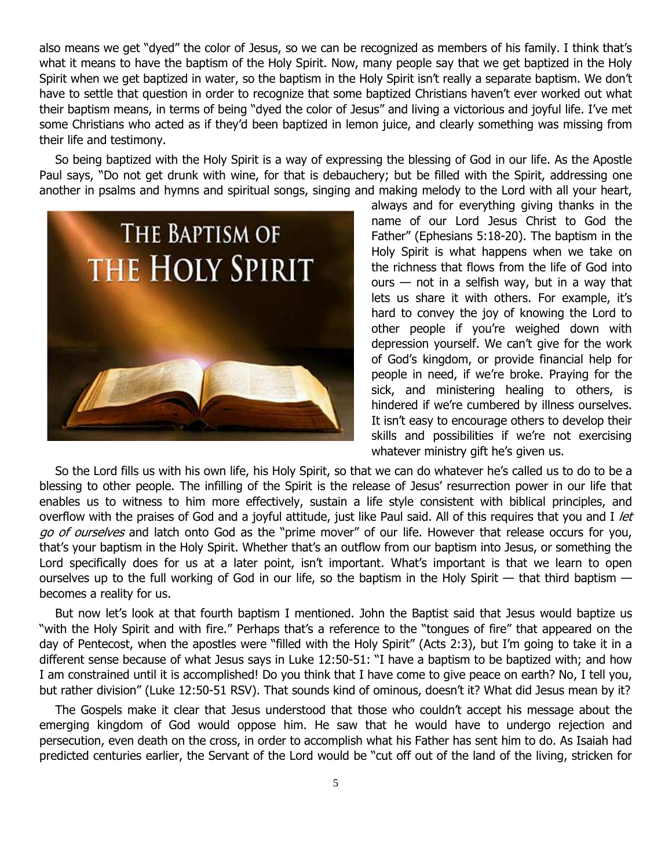also means we get "dyed" the color of Jesus, so we can be recognized as members of his family. I think that's what it means to have the baptism of the Holy Spirit. Now, many people say that we get baptized in the Holy Spirit when we get baptized in water, so the baptism in the Holy Spirit isn't really a separate baptism. We don't have to settle that question in order to recognize that some baptized Christians haven't ever worked out what their baptism means, in terms of being "dyed the color of Jesus" and living a victorious and joyful life. I've met some Christians who acted as if they'd been baptized in lemon juice, and clearly something was missing from their life and testimony.

So being baptized with the Holy Spirit is a way of expressing the blessing of God in our life. As the Apostle Paul says, "Do not get drunk with wine, for that is debauchery; but be filled with the Spirit, addressing one another in psalms and hymns and spiritual songs, singing and making melody to the Lord with all your heart,



always and for everything giving thanks in the name of our Lord Jesus Christ to God the Father" (Ephesians 5:18-20). The baptism in the Holy Spirit is what happens when we take on the richness that flows from the life of God into ours  $-$  not in a selfish way, but in a way that lets us share it with others. For example, it's hard to convey the joy of knowing the Lord to other people if you're weighed down with depression yourself. We can't give for the work of God's kingdom, or provide financial help for people in need, if we're broke. Praying for the sick, and ministering healing to others, is hindered if we're cumbered by illness ourselves. It isn't easy to encourage others to develop their skills and possibilities if we're not exercising whatever ministry gift he's given us.

So the Lord fills us with his own life, his Holy Spirit, so that we can do whatever he's called us to do to be a blessing to other people. The infilling of the Spirit is the release of Jesus' resurrection power in our life that enables us to witness to him more effectively, sustain a life style consistent with biblical principles, and overflow with the praises of God and a joyful attitude, just like Paul said. All of this requires that you and I let go of ourselves and latch onto God as the "prime mover" of our life. However that release occurs for you, that's your baptism in the Holy Spirit. Whether that's an outflow from our baptism into Jesus, or something the Lord specifically does for us at a later point, isn't important. What's important is that we learn to open ourselves up to the full working of God in our life, so the baptism in the Holy Spirit — that third baptism becomes a reality for us.

But now let's look at that fourth baptism I mentioned. John the Baptist said that Jesus would baptize us "with the Holy Spirit and with fire." Perhaps that's a reference to the "tongues of fire" that appeared on the day of Pentecost, when the apostles were "filled with the Holy Spirit" (Acts 2:3), but I'm going to take it in a different sense because of what Jesus says in Luke 12:50-51: "I have a baptism to be baptized with; and how I am constrained until it is accomplished! Do you think that I have come to give peace on earth? No, I tell you, but rather division" (Luke 12:50-51 RSV). That sounds kind of ominous, doesn't it? What did Jesus mean by it?

The Gospels make it clear that Jesus understood that those who couldn't accept his message about the emerging kingdom of God would oppose him. He saw that he would have to undergo rejection and persecution, even death on the cross, in order to accomplish what his Father has sent him to do. As Isaiah had predicted centuries earlier, the Servant of the Lord would be "cut off out of the land of the living, stricken for